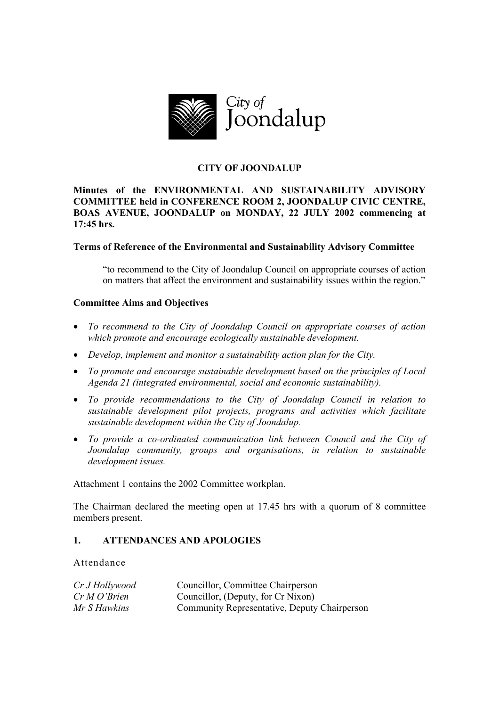

# **CITY OF JOONDALUP**

# **Minutes of the ENVIRONMENTAL AND SUSTAINABILITY ADVISORY COMMITTEE held in CONFERENCE ROOM 2, JOONDALUP CIVIC CENTRE, BOAS AVENUE, JOONDALUP on MONDAY, 22 JULY 2002 commencing at 17:45 hrs.**

## **Terms of Reference of the Environmental and Sustainability Advisory Committee**

"to recommend to the City of Joondalup Council on appropriate courses of action on matters that affect the environment and sustainability issues within the region."

## **Committee Aims and Objectives**

- *To recommend to the City of Joondalup Council on appropriate courses of action which promote and encourage ecologically sustainable development.*
- *Develop, implement and monitor a sustainability action plan for the City.*
- *To promote and encourage sustainable development based on the principles of Local Agenda 21 (integrated environmental, social and economic sustainability).*
- *To provide recommendations to the City of Joondalup Council in relation to sustainable development pilot projects, programs and activities which facilitate sustainable development within the City of Joondalup.*
- *To provide a co-ordinated communication link between Council and the City of Joondalup community, groups and organisations, in relation to sustainable development issues.*

Attachment 1 contains the 2002 Committee workplan.

The Chairman declared the meeting open at 17.45 hrs with a quorum of 8 committee members present.

# **1. ATTENDANCES AND APOLOGIES**

### Attendance

| Cr J Hollywood    | Councillor, Committee Chairperson            |
|-------------------|----------------------------------------------|
| $Cr\,M\,O$ 'Brien | Councillor, (Deputy, for Cr Nixon)           |
| Mr S Hawkins      | Community Representative, Deputy Chairperson |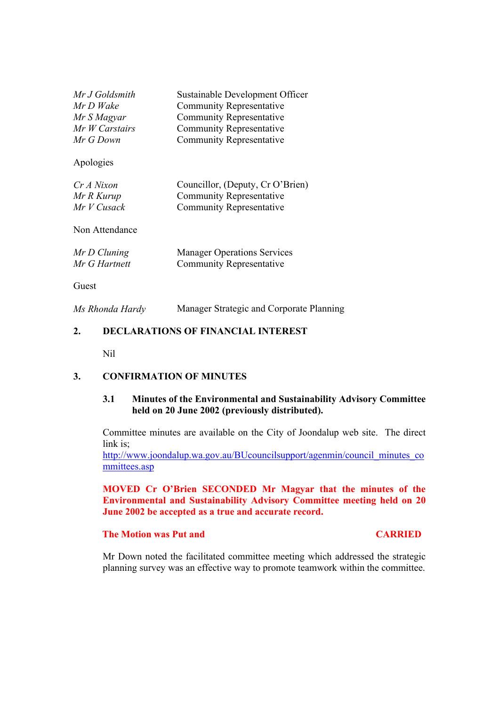| Mr J Goldsmith<br>$Mr D$ Wake<br>Mr S Magyar<br>Mr W Carstairs<br>Mr G Down<br>Apologies | Sustainable Development Officer<br><b>Community Representative</b><br><b>Community Representative</b><br><b>Community Representative</b><br><b>Community Representative</b> |
|------------------------------------------------------------------------------------------|-----------------------------------------------------------------------------------------------------------------------------------------------------------------------------|
| Cr A Nixon                                                                               | Councillor, (Deputy, Cr O'Brien)                                                                                                                                            |
| Mr R Kurup                                                                               | <b>Community Representative</b>                                                                                                                                             |
| $MrV$ Cusack                                                                             | <b>Community Representative</b>                                                                                                                                             |
| Non Attendance                                                                           |                                                                                                                                                                             |
| Mr D Cluning                                                                             | <b>Manager Operations Services</b>                                                                                                                                          |
| Mr G Hartnett                                                                            | <b>Community Representative</b>                                                                                                                                             |

Guest

*Ms Rhonda Hardy* Manager Strategic and Corporate Planning

# **2. DECLARATIONS OF FINANCIAL INTEREST**

Nil

## **3. CONFIRMATION OF MINUTES**

## **3.1 Minutes of the Environmental and Sustainability Advisory Committee held on 20 June 2002 (previously distributed).**

Committee minutes are available on the City of Joondalup web site. The direct link is;

http://www.joondalup.wa.gov.au/BUcouncilsupport/agenmin/council\_minutes\_co mmittees.asp

**MOVED Cr O'Brien SECONDED Mr Magyar that the minutes of the Environmental and Sustainability Advisory Committee meeting held on 20 June 2002 be accepted as a true and accurate record.** 

### **The Motion was Put and CARRIED**

Mr Down noted the facilitated committee meeting which addressed the strategic planning survey was an effective way to promote teamwork within the committee.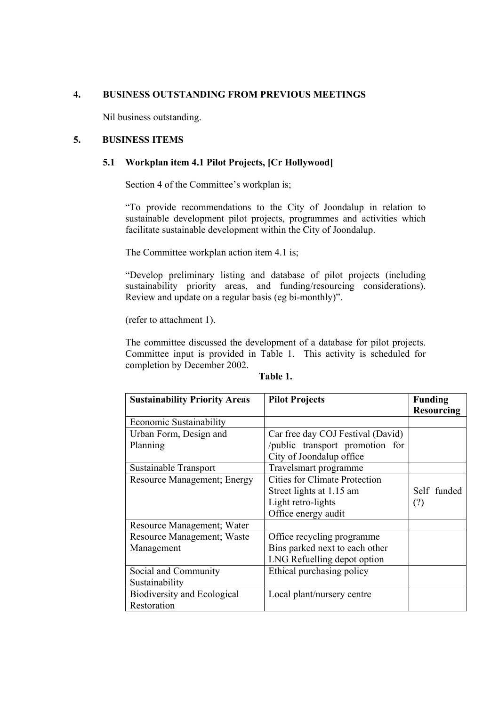# **4. BUSINESS OUTSTANDING FROM PREVIOUS MEETINGS**

Nil business outstanding.

## **5. BUSINESS ITEMS**

## **5.1 Workplan item 4.1 Pilot Projects, [Cr Hollywood]**

Section 4 of the Committee's workplan is;

"To provide recommendations to the City of Joondalup in relation to sustainable development pilot projects, programmes and activities which facilitate sustainable development within the City of Joondalup.

The Committee workplan action item 4.1 is;

"Develop preliminary listing and database of pilot projects (including sustainability priority areas, and funding/resourcing considerations). Review and update on a regular basis (eg bi-monthly)".

(refer to attachment 1).

The committee discussed the development of a database for pilot projects. Committee input is provided in Table 1. This activity is scheduled for completion by December 2002.

|  |  | `able |  |
|--|--|-------|--|
|--|--|-------|--|

| <b>Sustainability Priority Areas</b>              | <b>Pilot Projects</b>                                                                                         | <b>Funding</b><br><b>Resourcing</b> |
|---------------------------------------------------|---------------------------------------------------------------------------------------------------------------|-------------------------------------|
| Economic Sustainability                           |                                                                                                               |                                     |
| Urban Form, Design and<br>Planning                | Car free day COJ Festival (David)<br>/public transport promotion for<br>City of Joondalup office              |                                     |
| Sustainable Transport                             | Travelsmart programme                                                                                         |                                     |
| Resource Management; Energy                       | <b>Cities for Climate Protection</b><br>Street lights at 1.15 am<br>Light retro-lights<br>Office energy audit | Self funded<br>(?)                  |
| Resource Management; Water                        |                                                                                                               |                                     |
| Resource Management; Waste<br>Management          | Office recycling programme<br>Bins parked next to each other<br>LNG Refuelling depot option                   |                                     |
| Social and Community<br>Sustainability            | Ethical purchasing policy                                                                                     |                                     |
| <b>Biodiversity and Ecological</b><br>Restoration | Local plant/nursery centre                                                                                    |                                     |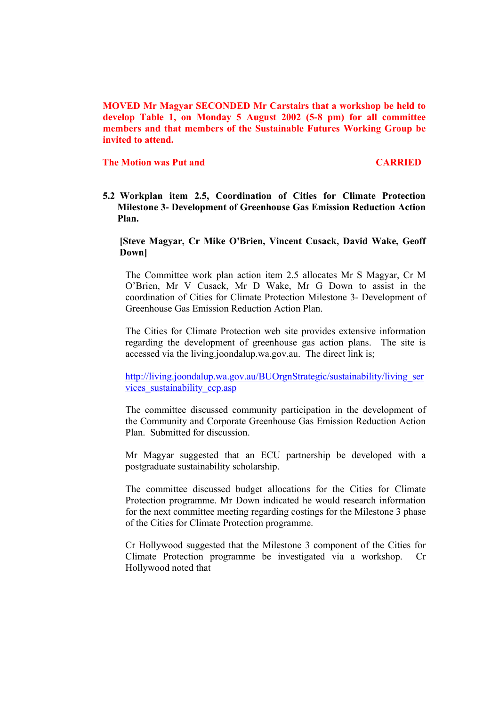**MOVED Mr Magyar SECONDED Mr Carstairs that a workshop be held to develop Table 1, on Monday 5 August 2002 (5-8 pm) for all committee members and that members of the Sustainable Futures Working Group be invited to attend.** 

### **The Motion was Put and CARRIED**

**5.2 Workplan item 2.5, Coordination of Cities for Climate Protection Milestone 3- Development of Greenhouse Gas Emission Reduction Action Plan.** 

### **[Steve Magyar, Cr Mike O'Brien, Vincent Cusack, David Wake, Geoff Down]**

The Committee work plan action item 2.5 allocates Mr S Magyar, Cr M O'Brien, Mr V Cusack, Mr D Wake, Mr G Down to assist in the coordination of Cities for Climate Protection Milestone 3- Development of Greenhouse Gas Emission Reduction Action Plan.

The Cities for Climate Protection web site provides extensive information regarding the development of greenhouse gas action plans. The site is accessed via the living.joondalup.wa.gov.au. The direct link is;

http://living.joondalup.wa.gov.au/BUOrgnStrategic/sustainability/living\_ser vices\_sustainability\_ccp.asp

The committee discussed community participation in the development of the Community and Corporate Greenhouse Gas Emission Reduction Action Plan. Submitted for discussion.

Mr Magyar suggested that an ECU partnership be developed with a postgraduate sustainability scholarship.

The committee discussed budget allocations for the Cities for Climate Protection programme. Mr Down indicated he would research information for the next committee meeting regarding costings for the Milestone 3 phase of the Cities for Climate Protection programme.

Cr Hollywood suggested that the Milestone 3 component of the Cities for Climate Protection programme be investigated via a workshop. Cr Hollywood noted that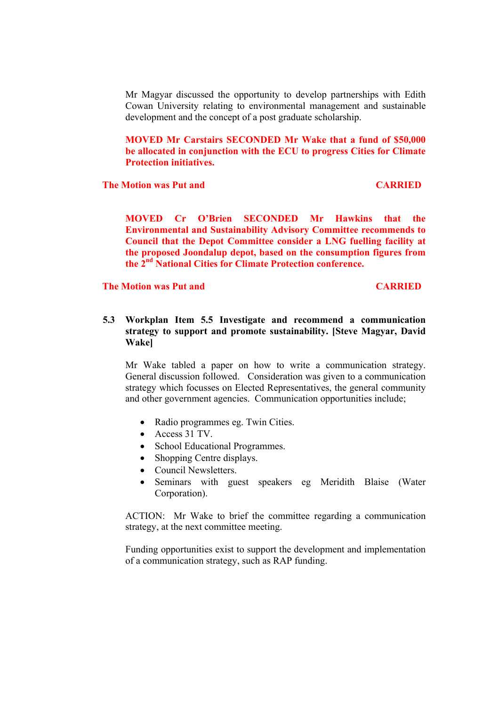Mr Magyar discussed the opportunity to develop partnerships with Edith Cowan University relating to environmental management and sustainable development and the concept of a post graduate scholarship.

**MOVED Mr Carstairs SECONDED Mr Wake that a fund of \$50,000 be allocated in conjunction with the ECU to progress Cities for Climate Protection initiatives.** 

**The Motion was Put and CARRIED CARRIED** 

**MOVED Cr O'Brien SECONDED Mr Hawkins that the Environmental and Sustainability Advisory Committee recommends to Council that the Depot Committee consider a LNG fuelling facility at the proposed Joondalup depot, based on the consumption figures from the 2nd National Cities for Climate Protection conference.** 

### **The Motion was Put and CARRIED CARRIED**

## **5.3 Workplan Item 5.5 Investigate and recommend a communication strategy to support and promote sustainability. [Steve Magyar, David Wake]**

Mr Wake tabled a paper on how to write a communication strategy. General discussion followed. Consideration was given to a communication strategy which focusses on Elected Representatives, the general community and other government agencies. Communication opportunities include;

- Radio programmes eg. Twin Cities.
- Access 31 TV.
- School Educational Programmes.
- Shopping Centre displays.
- Council Newsletters.
- Seminars with guest speakers eg Meridith Blaise (Water Corporation).

ACTION: Mr Wake to brief the committee regarding a communication strategy, at the next committee meeting.

Funding opportunities exist to support the development and implementation of a communication strategy, such as RAP funding.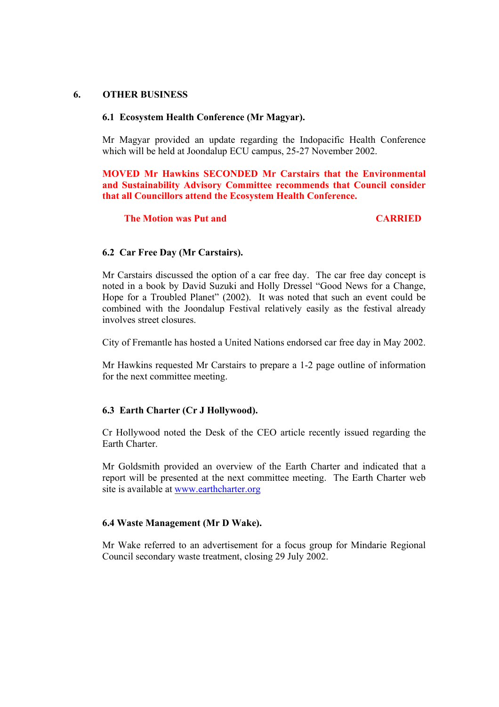## **6. OTHER BUSINESS**

### **6.1 Ecosystem Health Conference (Mr Magyar).**

Mr Magyar provided an update regarding the Indopacific Health Conference which will be held at Joondalup ECU campus, 25-27 November 2002.

**MOVED Mr Hawkins SECONDED Mr Carstairs that the Environmental and Sustainability Advisory Committee recommends that Council consider that all Councillors attend the Ecosystem Health Conference.** 

## **The Motion was Put and CARRIED**

## **6.2 Car Free Day (Mr Carstairs).**

Mr Carstairs discussed the option of a car free day. The car free day concept is noted in a book by David Suzuki and Holly Dressel "Good News for a Change, Hope for a Troubled Planet" (2002). It was noted that such an event could be combined with the Joondalup Festival relatively easily as the festival already involves street closures.

City of Fremantle has hosted a United Nations endorsed car free day in May 2002.

Mr Hawkins requested Mr Carstairs to prepare a 1-2 page outline of information for the next committee meeting.

### **6.3 Earth Charter (Cr J Hollywood).**

Cr Hollywood noted the Desk of the CEO article recently issued regarding the Earth Charter.

Mr Goldsmith provided an overview of the Earth Charter and indicated that a report will be presented at the next committee meeting. The Earth Charter web site is available at www.earthcharter.org

## **6.4 Waste Management (Mr D Wake).**

Mr Wake referred to an advertisement for a focus group for Mindarie Regional Council secondary waste treatment, closing 29 July 2002.